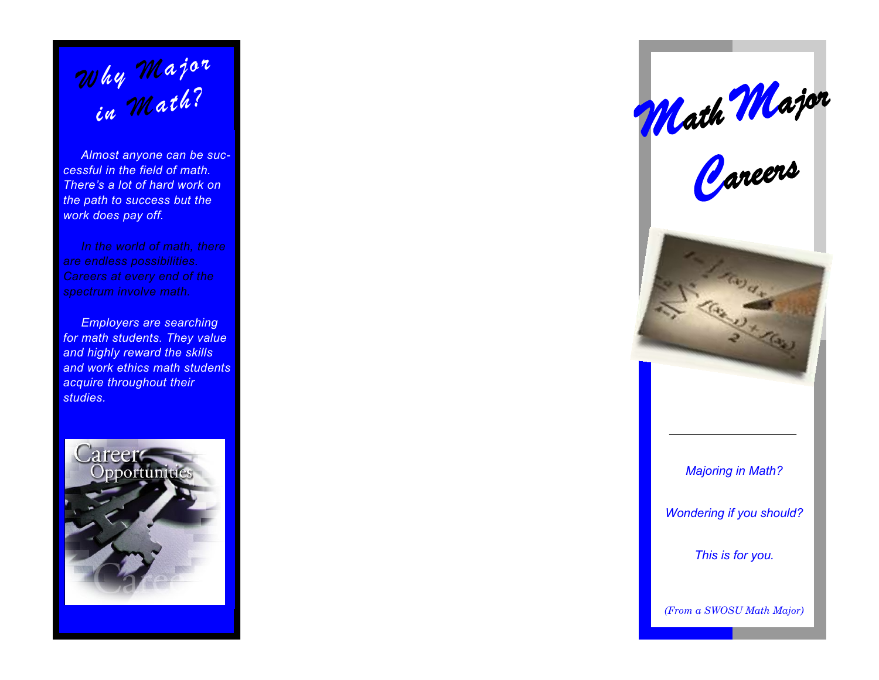*in Math?*

 *Almost anyone can be successful in the field of math. There's a lot of hard work on the path to success but the work does pay off.*

 *In the world of math, there are endless possibilities. Careers at every end of the spectrum involve math.*

 *Employers are searching for math students. They value and highly reward the skills and work ethics math students acquire throughout their in Whajor*<br> *in Whath?*<br> *in Math?*<br> *stands anyone can be successful in the field of math.*<br> *There's a lot of hard work on the path to success but the work does pay off.*<br>
In the world of math, there are endless



*Majoring in Math? Wondering if you should? This is for you. Math Major*<br> *Careers*<br> *Majoring in Math?*<br> *Majoring in Math?*<br> *Wondering if you should?*<br> *This is for you.*<br> *(From a SWOSU Math Major)*